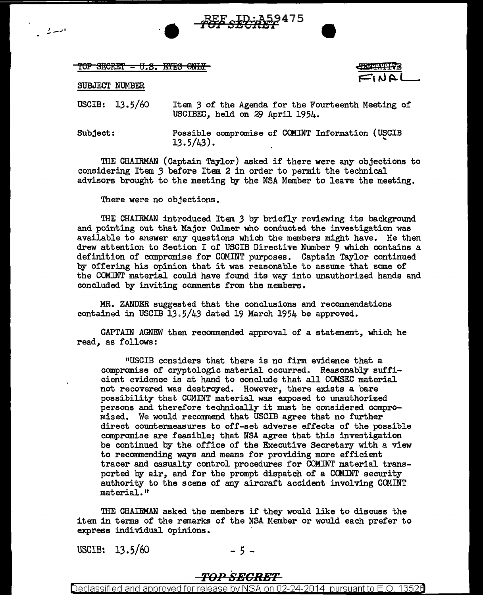TOP SECRET - U.S. EYES ONLY

## SUBJECT NUMBER

*.!,.--:•* 

USCIB: 13.5/60 Item 3 of the Agenda for the Fourteenth Meeting of USCIBEC, held on 29 April 1954.

**PEF SECRE** 

Subject: Possible compromise of COMINT Information (USCIB  $13.5/43$ .

THE CHAIRMAN (Captain Taylor) asked if there were any objections to considering Item *3* before Item 2 in order to permit the technical advisors brought to the meeting by the NSA Member to leave the meeting.

There were no objections.

THE CHAIRMAN introduced Item *3* by briefly reviewing its background and pointing out that Major Culmer who conducted the investigation was available to answer any questions which the members might have. He then drew attention to Section I of USCIB Directive Number 9 which contains a definition of compromise for COMINT purposes. Captain Taylor continued by offering his opinion that it was reasonable to assume that some of the COMINT material could have found its way into unauthorized hands and concluded by inviting comments from the members.

MR. ZANDER suggested that the conclusions and recommendations contained in USCIB 13.5/43 dated 19 March 1954 be approved.

CAPTAIN AGNEW then recommended approval of a statement, which he read, as follows:

11USCIB considers that there is no firm evidence that a compromise of cryptologic material occurred. Reasonably sufficient evidence is at hand to conclude that all COMSEC material not recovered was destroyed. However, there exists a bare possibility that COMINT material was exposed to unauthorized persons and therefore technically it must be considered compromised. We would reconunend that USCIB agree that no further direct countermeasures to off-set adverse effects of the possible compromise are feasible; that NSA agree that this investigation be continued by the office of the Executive Secretary with a view to recommending ways and means for providing more efficient tracer and casualty control procedures for COMINT material transported by air, and for the prompt dispatch of a COMINT security authority to the scene of any aircraft accident involving COMINT material. "

THE CHAIRMAN asked the members if they would like to discuss the item in terms of the remarks of the NSA Member or would each prefer to express individual opinions.

USCIB:  $13.5/60$  - 5 -

# *TO:PSEGRBT*

Declassified and approved for release by NSA on 02-24-2014 pursuant to E.O. 13526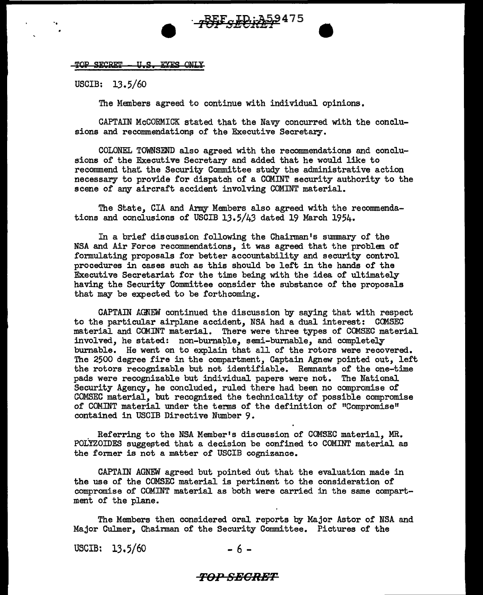#### TOP SECRET IIS EVES ONLY

USCIB: 13.5/60

..

The Members agreed to continue with individual opinions.

CAPTAIN McCORMICK stated that the Navy concurred with the conclusions and recommendations of the Executive Secretary.

**REF ED: 359475** 

COLONEL TOWNSEND also agreed with the recommendations and conclusions of the Executive Secretary and added that he would like to recommend that the Security Committee study the administrative action necessary to provide for dispatch of a COMINT security authority to the scene of any aircraft accident involving COMINT material.

The State, CIA and Army Members also agreed with the recommendations and conclusions of USCIB 13.5/43 dated 19 March 1954.

In a brief discussion following the Chairman's summary of the NSA and Air Force recommendations, it was agreed that the problem of formulating proposals for better accountability and security control procedures in cases such as this should be left in the hands of the Executive Secretariat for the time being with the idea of ultimately having the Security Committee consider the substance of the proposals that may be expected to be forthcoming.

CAPTAIN AGNEW continued the discussion by saying that with respect to the particular airplane accident, NSA had a dual interest: COMSEC material and COMINT material. There were three types of COMSEC material involved, he stated: non-burnable, semi-burnable, and completely burnable. He went on to explain that all of the rotors were recovered. The 2500 degree fire in the compartment, Captain Agnew pointed out, left the rotors recognizable but not identifiable. Remnants of the one-time pads were recognizable but individual papers were not. The National Security Agency, he concluded, ruled there had been no compromise of COMSEC material, but recognized the technicality of possible compromise of COMINT material under the terms of the definition of "Compromise" contained in USCIB Directive Number 9.

. Referring to the NSA Member's discussion of COMSEC material, MR. POLYZOIDES suggested that a decision be confined to COMINT material as the former is not a matter of USCIB cognizance.

CAPTAIN AGNEW agreed but pointed out that the evaluation made in the use of the COMSEC material is pertinent to the consideration of compromise of COMINT material as both were carried in the same compartment of the plane.

The Members then considered oral reports by Major Astor of NSA and Major Culmer, Chairman of the Security Committee. Pictures of the

USCIB:  $13.5/60$  - 6 -

## *TO-PSBGRBT*